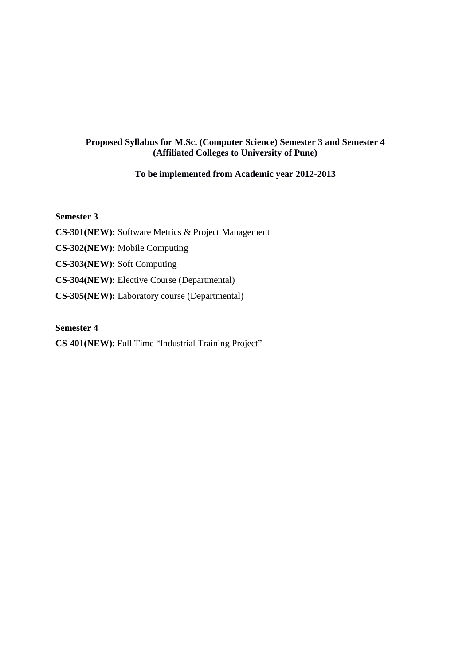## **Proposed Syllabus for M.Sc. (Computer Science) Semester 3 and Semester 4 (Affiliated Colleges to University of Pune)**

## **To be implemented from Academic year 2012-2013**

**Semester 3** 

**CS-301(NEW):** Software Metrics & Project Management

**CS-302(NEW):** Mobile Computing

**CS-303(NEW):** Soft Computing

**CS-304(NEW):** Elective Course (Departmental)

**CS-305(NEW):** Laboratory course (Departmental)

**Semester 4**

**CS-401(NEW)**: Full Time "Industrial Training Project"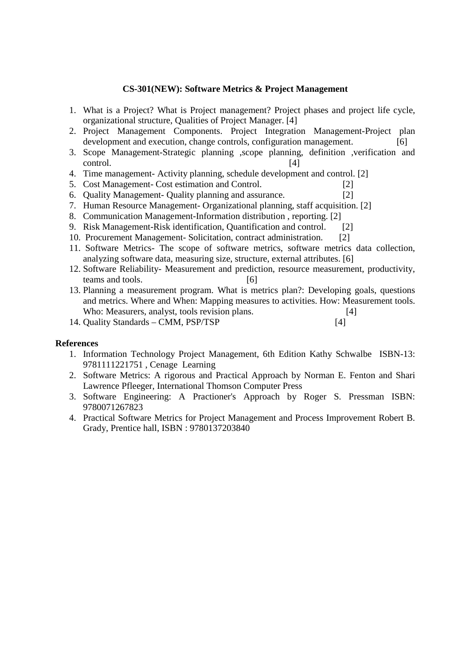### **CS-301(NEW): Software Metrics & Project Management**

- 1. What is a Project? What is Project management? Project phases and project life cycle, organizational structure, Qualities of Project Manager. [4]
- 2. Project Management Components. Project Integration Management-Project plan development and execution, change controls, configuration management. [6]
- 3. Scope Management-Strategic planning ,scope planning, definition ,verification and control. [4]
- 4. Time management- Activity planning, schedule development and control. [2]
- 5. Cost Management- Cost estimation and Control. [2]
- 6. Quality Management- Quality planning and assurance. [2]
- 7. Human Resource Management- Organizational planning, staff acquisition. [2]
- 8. Communication Management-Information distribution , reporting. [2]
- 9. Risk Management-Risk identification, Quantification and control. [2]
- 10. Procurement Management- Solicitation, contract administration. [2]
- 11. Software Metrics- The scope of software metrics, software metrics data collection, analyzing software data, measuring size, structure, external attributes. [6]
- 12. Software Reliability- Measurement and prediction, resource measurement, productivity, teams and tools. [6]
- 13. Planning a measurement program. What is metrics plan?: Developing goals, questions and metrics. Where and When: Mapping measures to activities. How: Measurement tools. Who: Measurers, analyst, tools revision plans. [4]
- 14. Quality Standards CMM, PSP/TSP [4]

#### **References**

- 1. Information Technology Project Management, 6th Edition Kathy Schwalbe ISBN-13: 9781111221751 , Cenage Learning
- 2. Software Metrics: A rigorous and Practical Approach by Norman E. Fenton and Shari Lawrence Pfleeger, International Thomson Computer Press
- 3. Software Engineering: A Practioner's Approach by Roger S. Pressman ISBN: 9780071267823
- 4. Practical Software Metrics for Project Management and Process Improvement Robert B. Grady, Prentice hall, ISBN : 9780137203840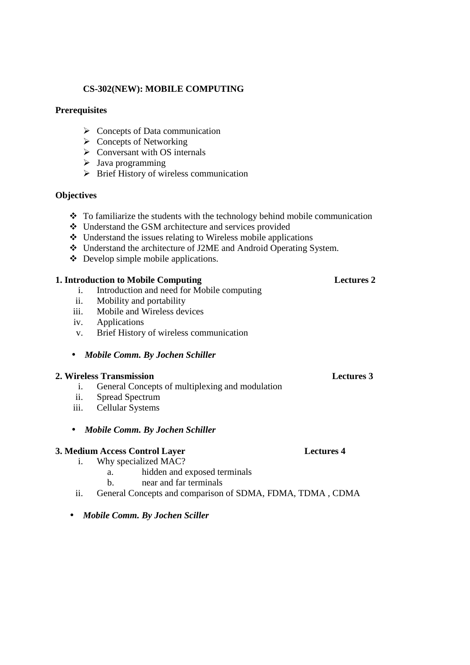## **CS-302(NEW): MOBILE COMPUTING**

### **Prerequisites**

- $\triangleright$  Concepts of Data communication
- $\triangleright$  Concepts of Networking
- $\triangleright$  Conversant with OS internals
- $\triangleright$  Java programming
- $\triangleright$  Brief History of wireless communication

## **Objectives**

- $\div$  To familiarize the students with the technology behind mobile communication
- Understand the GSM architecture and services provided
- Understand the issues relating to Wireless mobile applications
- Understand the architecture of J2ME and Android Operating System.
- Develop simple mobile applications.

## **1. Introduction to Mobile Computing Lectures 2**

- i. Introduction and need for Mobile computing
- ii. Mobility and portability
- iii. Mobile and Wireless devices
- iv. Applications
- v. Brief History of wireless communication
- *Mobile Comm. By Jochen Schiller*

## **2. Wireless Transmission Lectures 3**

- i. General Concepts of multiplexing and modulation
- ii. Spread Spectrum
- iii. Cellular Systems
- *Mobile Comm. By Jochen Schiller*

## **3. Medium Access Control Layer Lectures 4**

- i. Why specialized MAC?
	- a. hidden and exposed terminals
	- b. near and far terminals
- ii. General Concepts and comparison of SDMA, FDMA, TDMA , CDMA
- *Mobile Comm. By Jochen Sciller*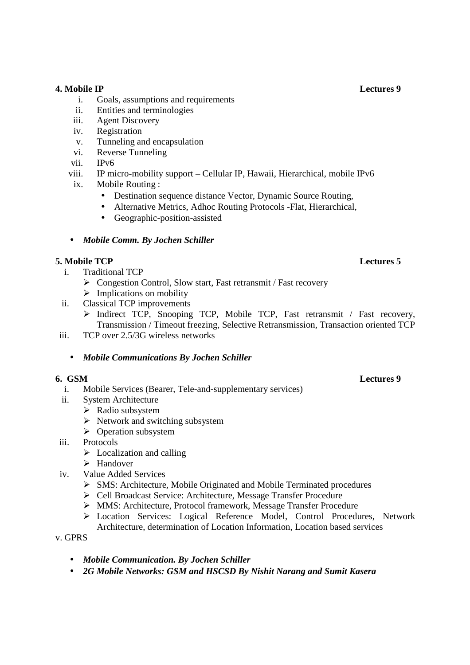## **4. Mobile IP Lectures 9**

- i. Goals, assumptions and requirements
- ii. Entities and terminologies
- iii. Agent Discovery
- iv. Registration
- v. Tunneling and encapsulation
- vi. Reverse Tunneling
- vii. IPv6
- viii. IP micro-mobility support Cellular IP, Hawaii, Hierarchical, mobile IPv6
- ix. Mobile Routing :
	- Destination sequence distance Vector, Dynamic Source Routing,
	- Alternative Metrics, Adhoc Routing Protocols -Flat, Hierarchical,
	- Geographic-position-assisted
- *Mobile Comm. By Jochen Schiller*

## **5. Mobile TCP** Lectures 5

- i. Traditional TCP
	- ▶ Congestion Control, Slow start, Fast retransmit / Fast recovery
	- $\triangleright$  Implications on mobility
- ii. Classical TCP improvements
	- Indirect TCP, Snooping TCP, Mobile TCP, Fast retransmit / Fast recovery, Transmission / Timeout freezing, Selective Retransmission, Transaction oriented TCP
- iii. TCP over 2.5/3G wireless networks
	- *Mobile Communications By Jochen Schiller*

- i. Mobile Services (Bearer, Tele-and-supplementary services)
- ii. System Architecture
	- $\triangleright$  Radio subsystem
		- $\triangleright$  Network and switching subsystem
		- $\triangleright$  Operation subsystem
- iii. Protocols
	- $\triangleright$  Localization and calling
	- $\triangleright$  Handover
- iv. Value Added Services
	- SMS: Architecture, Mobile Originated and Mobile Terminated procedures
	- Cell Broadcast Service: Architecture, Message Transfer Procedure
	- MMS: Architecture, Protocol framework, Message Transfer Procedure
	- Location Services: Logical Reference Model, Control Procedures, Network Architecture, determination of Location Information, Location based services
- v. GPRS
	- *Mobile Communication. By Jochen Schiller*
	- *2G Mobile Networks: GSM and HSCSD By Nishit Narang and Sumit Kasera*

### **6. GSM Lectures 9**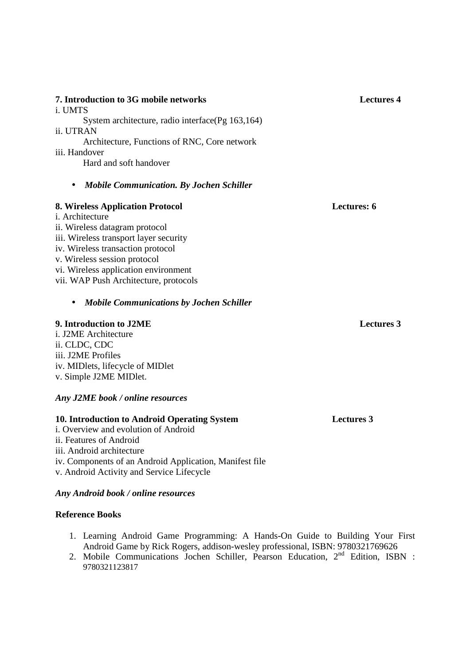| 7. Introduction to 3G mobile networks<br><i>i</i> . UMTS                                                                  | Lectures 4  |
|---------------------------------------------------------------------------------------------------------------------------|-------------|
| System architecture, radio interface $(Pg 163, 164)$<br><i>ii</i> . UTRAN<br>Architecture, Functions of RNC, Core network |             |
| iii. Handover<br>Hard and soft handover                                                                                   |             |
| <b>Mobile Communication. By Jochen Schiller</b><br>$\bullet$                                                              |             |
| 8. Wireless Application Protocol<br><i>i.</i> Architecture                                                                | Lectures: 6 |
| ii. Wireless datagram protocol                                                                                            |             |
| iii. Wireless transport layer security                                                                                    |             |
| iv. Wireless transaction protocol                                                                                         |             |

vi. Wireless application environment vii. WAP Push Architecture, protocols

### • *Mobile Communications by Jochen Schiller*

#### **9. Introduction to J2ME** Lectures 3

v. Wireless session protocol

i. J2ME Architecture ii. CLDC, CDC iii. J2ME Profiles iv. MIDlets, lifecycle of MIDlet v. Simple J2ME MIDlet.

## *Any J2ME book / online resources*

## **10. Introduction to Android Operating System Lectures 3**

i. Overview and evolution of Android ii. Features of Android iii. Android architecture iv. Components of an Android Application, Manifest file v. Android Activity and Service Lifecycle

#### *Any Android book / online resources*

#### **Reference Books**

- 1. Learning Android Game Programming: A Hands-On Guide to Building Your First Android Game by Rick Rogers, addison-wesley professional, ISBN: 9780321769626
- 2. Mobile Communications Jochen Schiller, Pearson Education, 2<sup>nd</sup> Edition, ISBN : 9780321123817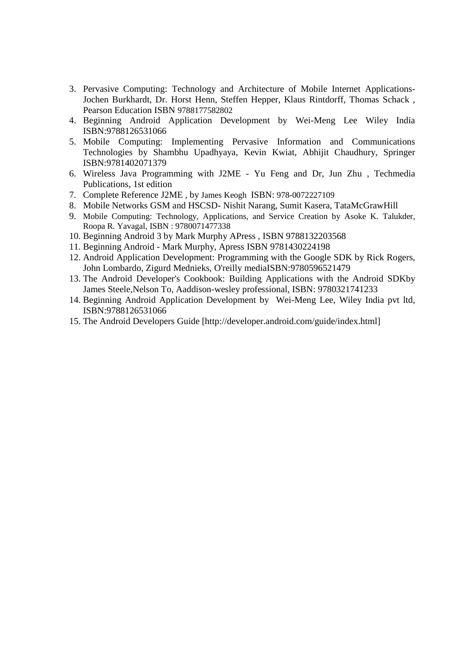- 3. Pervasive Computing: Technology and Architecture of Mobile Internet Applications-Jochen Burkhardt, Dr. Horst Henn, Steffen Hepper, Klaus Rintdorff, Thomas Schack , Pearson Education ISBN 9788177582802
- 4. Beginning Android Application Development by Wei-Meng Lee Wiley India ISBN:9788126531066
- 5. Mobile Computing: Implementing Pervasive Information and Communications Technologies by Shambhu Upadhyaya, Kevin Kwiat, Abhijit Chaudhury, Springer ISBN:9781402071379
- 6. Wireless Java Programming with J2ME Yu Feng and Dr, Jun Zhu , Techmedia Publications, 1st edition
- 7. Complete Reference J2ME , by James Keogh ISBN: 978-0072227109
- 8. Mobile Networks GSM and HSCSD- Nishit Narang, Sumit Kasera, TataMcGrawHill
- 9. Mobile Computing: Technology, Applications, and Service Creation by Asoke K. Talukder, Roopa R. Yavagal, ISBN : 9780071477338
- 10. Beginning Android 3 by Mark Murphy APress , ISBN 9788132203568
- 11. Beginning Android Mark Murphy, Apress ISBN 9781430224198
- 12. Android Application Development: Programming with the Google SDK by Rick Rogers, John Lombardo, Zigurd Mednieks, O'reilly mediaISBN:9780596521479
- 13. The Android Developer's Cookbook: Building Applications with the Android SDKby James Steele,Nelson To, Aaddison-wesley professional, ISBN: 9780321741233
- 14. Beginning Android Application Development by Wei-Meng Lee, Wiley India pvt ltd, ISBN:9788126531066
- 15. The Android Developers Guide [http://developer.android.com/guide/index.html]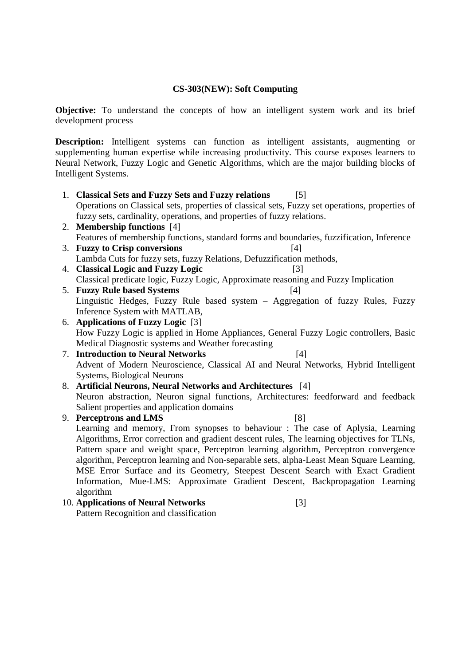## **CS-303(NEW): Soft Computing**

**Objective:** To understand the concepts of how an intelligent system work and its brief development process

**Description:** Intelligent systems can function as intelligent assistants, augmenting or supplementing human expertise while increasing productivity. This course exposes learners to Neural Network, Fuzzy Logic and Genetic Algorithms, which are the major building blocks of Intelligent Systems.

- 1. **Classical Sets and Fuzzy Sets and Fuzzy relations** [5] Operations on Classical sets, properties of classical sets, Fuzzy set operations, properties of fuzzy sets, cardinality, operations, and properties of fuzzy relations.
- 2. **Membership functions** [4] Features of membership functions, standard forms and boundaries, fuzzification, Inference
- 3. **Fuzzy to Crisp conversions** [4] Lambda Cuts for fuzzy sets, fuzzy Relations, Defuzzification methods,
- 4. **Classical Logic and Fuzzy Logic** [3] Classical predicate logic, Fuzzy Logic, Approximate reasoning and Fuzzy Implication
- 5. **Fuzzy Rule based Systems** [4] Linguistic Hedges, Fuzzy Rule based system – Aggregation of fuzzy Rules, Fuzzy Inference System with MATLAB,
- 6. **Applications of Fuzzy Logic** [3] How Fuzzy Logic is applied in Home Appliances, General Fuzzy Logic controllers, Basic Medical Diagnostic systems and Weather forecasting
- 7. **Introduction to Neural Networks** [4] Advent of Modern Neuroscience, Classical AI and Neural Networks, Hybrid Intelligent Systems, Biological Neurons
- 8. **Artificial Neurons, Neural Networks and Architectures** [4] Neuron abstraction, Neuron signal functions, Architectures: feedforward and feedback Salient properties and application domains

## 9. **Perceptrons and LMS** [8]

Learning and memory, From synopses to behaviour : The case of Aplysia, Learning Algorithms, Error correction and gradient descent rules, The learning objectives for TLNs, Pattern space and weight space, Perceptron learning algorithm, Perceptron convergence algorithm, Perceptron learning and Non-separable sets, alpha-Least Mean Square Learning, MSE Error Surface and its Geometry, Steepest Descent Search with Exact Gradient Information, Mue-LMS: Approximate Gradient Descent, Backpropagation Learning algorithm

## 10. **Applications of Neural Networks** [3]

Pattern Recognition and classification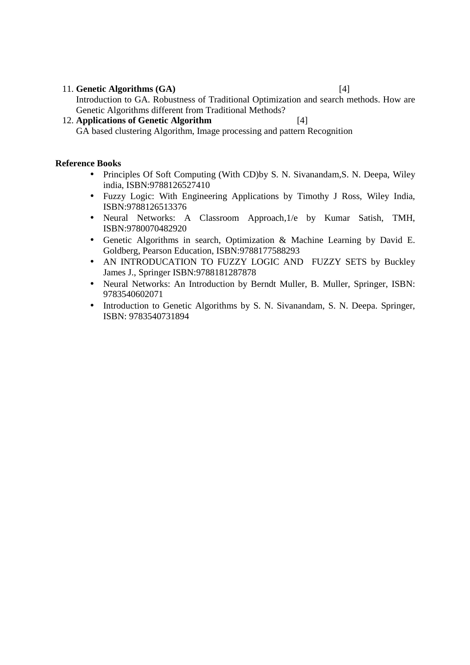#### 11. **Genetic Algorithms (GA)** [4]

Introduction to GA. Robustness of Traditional Optimization and search methods. How are Genetic Algorithms different from Traditional Methods?

## 12. **Applications of Genetic Algorithm** [4] GA based clustering Algorithm, Image processing and pattern Recognition

#### **Reference Books**

- Principles Of Soft Computing (With CD) by S. N. Sivanandam, S. N. Deepa, Wiley india, ISBN:9788126527410
- Fuzzy Logic: With Engineering Applications by Timothy J Ross, Wiley India, ISBN:9788126513376
- Neural Networks: A Classroom Approach,1/e by Kumar Satish, TMH, ISBN:9780070482920
- Genetic Algorithms in search, Optimization & Machine Learning by David E. Goldberg, Pearson Education, ISBN:9788177588293
- AN INTRODUCATION TO FUZZY LOGIC AND FUZZY SETS by Buckley James J., Springer ISBN:9788181287878
- Neural Networks: An Introduction by Berndt Muller, B. Muller, Springer, ISBN: 9783540602071
- Introduction to Genetic Algorithms by S. N. Sivanandam, S. N. Deepa. Springer, ISBN: 9783540731894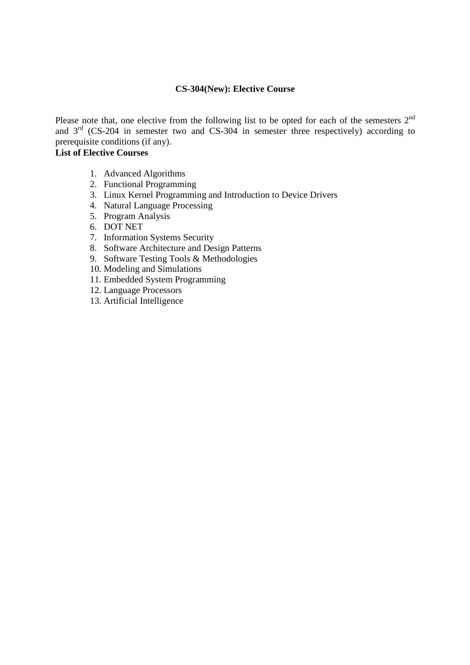## **CS-304(New): Elective Course**

Please note that, one elective from the following list to be opted for each of the semesters  $2<sup>nd</sup>$ and  $3<sup>rd</sup>$  (CS-204 in semester two and CS-304 in semester three respectively) according to prerequisite conditions (if any).

## **List of Elective Courses**

- 1. Advanced Algorithms
- 2. Functional Programming
- 3. Linux Kernel Programming and Introduction to Device Drivers
- 4. Natural Language Processing
- 5. Program Analysis
- 6. DOT NET
- 7. Information Systems Security
- 8. Software Architecture and Design Patterns
- 9. Software Testing Tools & Methodologies
- 10. Modeling and Simulations
- 11. Embedded System Programming
- 12. Language Processors
- 13. Artificial Intelligence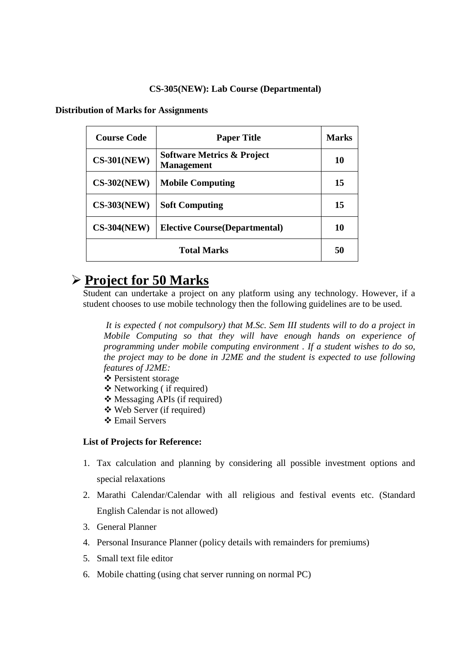### **CS-305(NEW): Lab Course (Departmental)**

**Distribution of Marks for Assignments** 

| <b>Course Code</b> | <b>Paper Title</b>                                         | Marks |
|--------------------|------------------------------------------------------------|-------|
| $CS-301(NEW)$      | <b>Software Metrics &amp; Project</b><br><b>Management</b> | 10    |
| $CS-302(NEW)$      | <b>Mobile Computing</b>                                    | 15    |
| $CS-303(NEW)$      | <b>Soft Computing</b>                                      | 15    |
| $CS-304(NEW)$      | <b>Elective Course (Departmental)</b>                      | 10    |
| <b>Total Marks</b> |                                                            |       |

# **Project for 50 Marks**

Student can undertake a project on any platform using any technology. However, if a student chooses to use mobile technology then the following guidelines are to be used.

 *It is expected ( not compulsory) that M.Sc. Sem III students will to do a project in Mobile Computing so that they will have enough hands on experience of programming under mobile computing environment . If a student wishes to do so, the project may to be done in J2ME and the student is expected to use following features of J2ME:* 

- Persistent storage
- Networking ( if required)
- Messaging APIs (if required)
- Web Server (if required)
- Email Servers

#### **List of Projects for Reference:**

- 1. Tax calculation and planning by considering all possible investment options and special relaxations
- 2. Marathi Calendar/Calendar with all religious and festival events etc. (Standard English Calendar is not allowed)
- 3. General Planner
- 4. Personal Insurance Planner (policy details with remainders for premiums)
- 5. Small text file editor
- 6. Mobile chatting (using chat server running on normal PC)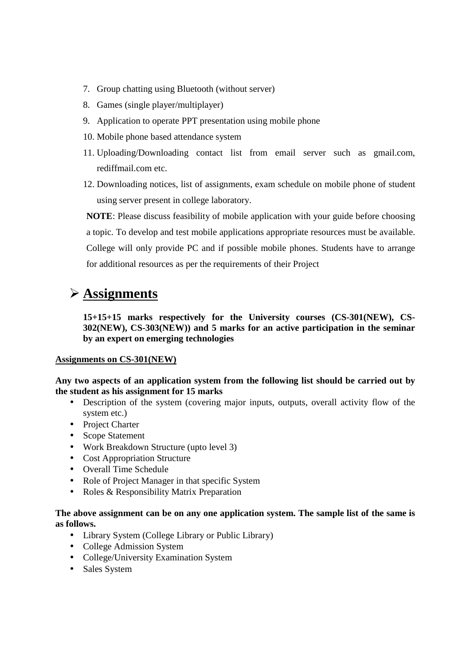- 7. Group chatting using Bluetooth (without server)
- 8. Games (single player/multiplayer)
- 9. Application to operate PPT presentation using mobile phone
- 10. Mobile phone based attendance system
- 11. Uploading/Downloading contact list from email server such as gmail.com, rediffmail.com etc.
- 12. Downloading notices, list of assignments, exam schedule on mobile phone of student using server present in college laboratory.

**NOTE**: Please discuss feasibility of mobile application with your guide before choosing a topic. To develop and test mobile applications appropriate resources must be available. College will only provide PC and if possible mobile phones. Students have to arrange for additional resources as per the requirements of their Project

# **Assignments**

**15+15+15 marks respectively for the University courses (CS-301(NEW), CS-302(NEW), CS-303(NEW)) and 5 marks for an active participation in the seminar by an expert on emerging technologies** 

## **Assignments on CS-301(NEW)**

**Any two aspects of an application system from the following list should be carried out by the student as his assignment for 15 marks** 

- Description of the system (covering major inputs, outputs, overall activity flow of the system etc.)
- Project Charter
- Scope Statement
- Work Breakdown Structure (upto level 3)
- Cost Appropriation Structure
- Overall Time Schedule
- Role of Project Manager in that specific System
- Roles & Responsibility Matrix Preparation

## **The above assignment can be on any one application system. The sample list of the same is as follows.**

- Library System (College Library or Public Library)
- College Admission System
- College/University Examination System
- Sales System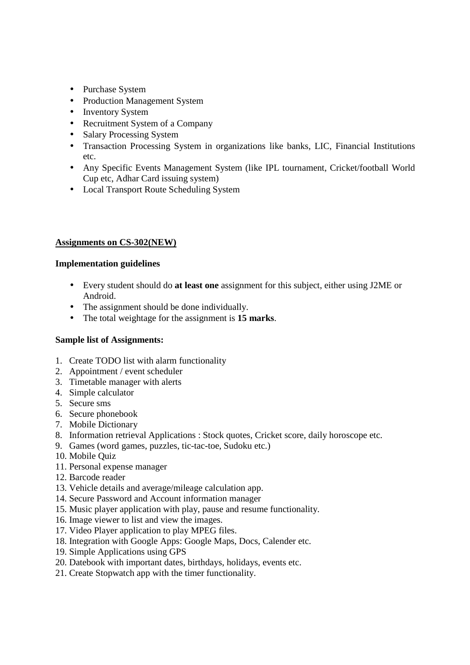- Purchase System
- Production Management System
- Inventory System
- Recruitment System of a Company
- Salary Processing System
- Transaction Processing System in organizations like banks, LIC, Financial Institutions etc.
- Any Specific Events Management System (like IPL tournament, Cricket/football World Cup etc, Adhar Card issuing system)
- Local Transport Route Scheduling System

## **Assignments on CS-302(NEW)**

## **Implementation guidelines**

- Every student should do **at least one** assignment for this subject, either using J2ME or Android.
- The assignment should be done individually.
- The total weightage for the assignment is **15 marks**.

## **Sample list of Assignments:**

- 1. Create TODO list with alarm functionality
- 2. Appointment / event scheduler
- 3. Timetable manager with alerts
- 4. Simple calculator
- 5. Secure sms
- 6. Secure phonebook
- 7. Mobile Dictionary
- 8. Information retrieval Applications : Stock quotes, Cricket score, daily horoscope etc.
- 9. Games (word games, puzzles, tic-tac-toe, Sudoku etc.)
- 10. Mobile Quiz
- 11. Personal expense manager
- 12. Barcode reader
- 13. Vehicle details and average/mileage calculation app.
- 14. Secure Password and Account information manager
- 15. Music player application with play, pause and resume functionality.
- 16. Image viewer to list and view the images.
- 17. Video Player application to play MPEG files.
- 18. Integration with Google Apps: Google Maps, Docs, Calender etc.
- 19. Simple Applications using GPS
- 20. Datebook with important dates, birthdays, holidays, events etc.
- 21. Create Stopwatch app with the timer functionality.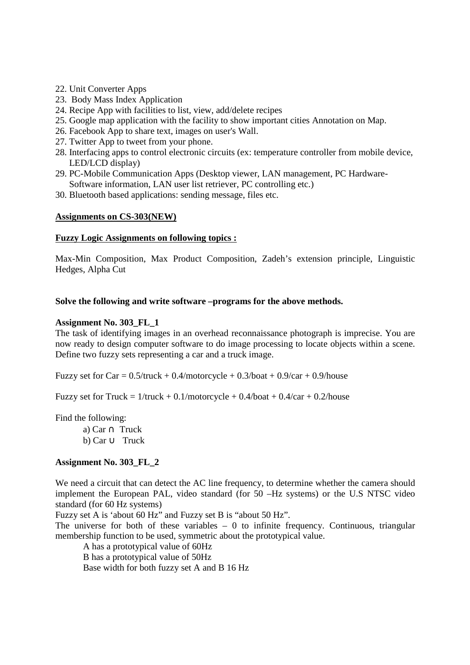- 22. Unit Converter Apps
- 23. Body Mass Index Application
- 24. Recipe App with facilities to list, view, add/delete recipes
- 25. Google map application with the facility to show important cities Annotation on Map.
- 26. Facebook App to share text, images on user's Wall.
- 27. Twitter App to tweet from your phone.
- 28. Interfacing apps to control electronic circuits (ex: temperature controller from mobile device, LED/LCD display)
- 29. PC-Mobile Communication Apps (Desktop viewer, LAN management, PC Hardware-Software information, LAN user list retriever, PC controlling etc.)
- 30. Bluetooth based applications: sending message, files etc.

#### **Assignments on CS-303(NEW)**

#### **Fuzzy Logic Assignments on following topics :**

Max-Min Composition, Max Product Composition, Zadeh's extension principle, Linguistic Hedges, Alpha Cut

#### **Solve the following and write software –programs for the above methods.**

#### **Assignment No. 303\_FL\_1**

The task of identifying images in an overhead reconnaissance photograph is imprecise. You are now ready to design computer software to do image processing to locate objects within a scene. Define two fuzzy sets representing a car and a truck image.

Fuzzy set for Car =  $0.5$ /truck +  $0.4$ /motorcycle +  $0.3$ /boat +  $0.9$ /car +  $0.9$ /house

Fuzzy set for Truck =  $1$ /truck + 0.1/motorcycle + 0.4/boat + 0.4/car + 0.2/house

Find the following:

a) Car ∩ Truck b) Car ∪ Truck

## **Assignment No. 303\_FL\_2**

We need a circuit that can detect the AC line frequency, to determine whether the camera should implement the European PAL, video standard (for 50 –Hz systems) or the U.S NTSC video standard (for 60 Hz systems)

Fuzzy set A is 'about 60 Hz" and Fuzzy set B is "about 50 Hz".

The universe for both of these variables  $-0$  to infinite frequency. Continuous, triangular membership function to be used, symmetric about the prototypical value.

A has a prototypical value of 60Hz B has a prototypical value of 50Hz

Base width for both fuzzy set A and B 16 Hz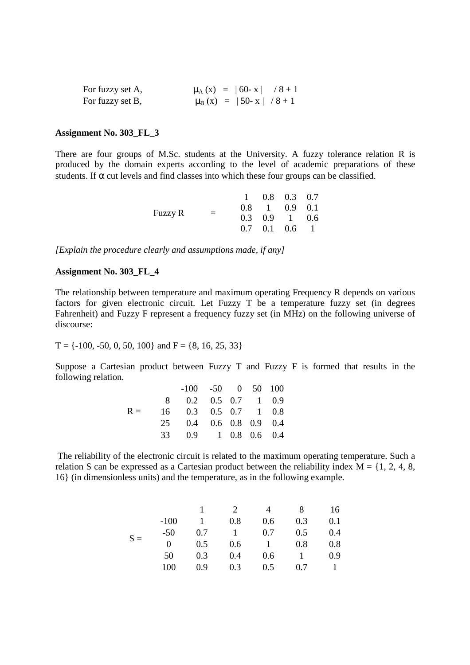| For fuzzy set A, | $\mu_A(x) =  60 - x  / 8 + 1$      |  |
|------------------|------------------------------------|--|
| For fuzzy set B, | $\mu_{\rm B}$ (x) =  50- x  /8 + 1 |  |

#### **Assignment No. 303\_FL\_3**

There are four groups of M.Sc. students at the University. A fuzzy tolerance relation R is produced by the domain experts according to the level of academic preparations of these students. If  $\alpha$  cut levels and find classes into which these four groups can be classified.

| Fuzzy R | $=$ |  | $1 \t0.8 \t0.3 \t0.7$             |  |
|---------|-----|--|-----------------------------------|--|
|         |     |  | $0.8 \quad 1 \quad 0.9 \quad 0.1$ |  |
|         |     |  | $0.3 \quad 0.9 \quad 1 \quad 0.6$ |  |
|         |     |  | $0.7$ $0.1$ $0.6$ 1               |  |

*[Explain the procedure clearly and assumptions made, if any]*

## **Assignment No. 303\_FL\_4**

The relationship between temperature and maximum operating Frequency R depends on various factors for given electronic circuit. Let Fuzzy T be a temperature fuzzy set (in degrees Fahrenheit) and Fuzzy F represent a frequency fuzzy set (in MHz) on the following universe of discourse:

$$
T = \{-100, -50, 0, 50, 100\}
$$
 and  $F = \{8, 16, 25, 33\}$ 

Suppose a Cartesian product between Fuzzy T and Fuzzy F is formed that results in the following relation.

|       | $-100$ $-50$ 0 50 100     |  |  |
|-------|---------------------------|--|--|
|       | 8 0.2 0.5 0.7 1 0.9       |  |  |
| $R =$ | 16  0.3  0.5  0.7  1  0.8 |  |  |
|       | 25 0.4 0.6 0.8 0.9 0.4    |  |  |
|       | 33 0.9 1 0.8 0.6 0.4      |  |  |

 The reliability of the electronic circuit is related to the maximum operating temperature. Such a relation S can be expressed as a Cartesian product between the reliability index  $M = \{1, 2, 4, 8, \ldots\}$ 16} (in dimensionless units) and the temperature, as in the following example.

|       |          |     |     |     | 8   | 16  |
|-------|----------|-----|-----|-----|-----|-----|
|       | $-100$   |     | 0.8 | 0.6 | 0.3 | 0.1 |
| $S =$ | $-50$    | 0.7 |     | 0.7 | 0.5 | 0.4 |
|       | $\theta$ | 0.5 | 0.6 |     | 0.8 | 0.8 |
|       | 50       | 0.3 | 0.4 | 0.6 |     | 0.9 |
|       | 100      | 0.9 | 0.3 | 0.5 | 07  |     |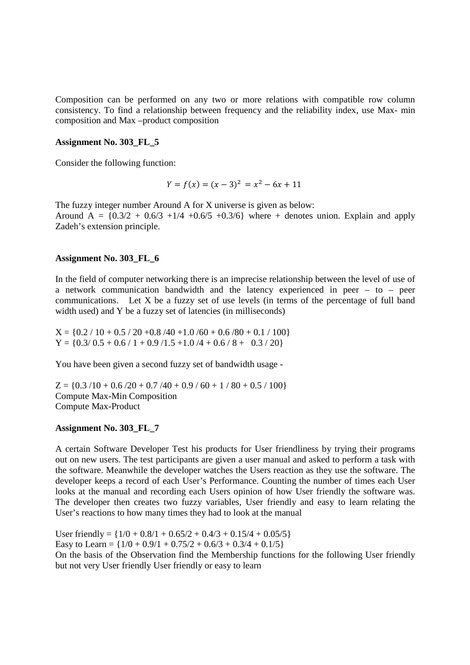Composition can be performed on any two or more relations with compatible row column consistency. To find a relationship between frequency and the reliability index, use Max- min composition and Max –product composition

#### **Assignment No. 303\_FL\_5**

Consider the following function:

$$
Y = f(x) = (x - 3)^2 = x^2 - 6x + 11
$$

The fuzzy integer number Around A for X universe is given as below: Around  $A = \{0.3/2 + 0.6/3 + 1/4 + 0.6/5 + 0.3/6\}$  where + denotes union. Explain and apply Zadeh's extension principle.

#### **Assignment No. 303\_FL\_6**

In the field of computer networking there is an imprecise relationship between the level of use of a network communication bandwidth and the latency experienced in peer – to – peer communications. Let X be a fuzzy set of use levels (in terms of the percentage of full band width used) and Y be a fuzzy set of latencies (in milliseconds)

 $X = \{0.2 / 10 + 0.5 / 20 + 0.8 / 40 + 1.0 / 60 + 0.6 / 80 + 0.1 / 100\}$  $Y = \{0.3/0.5 + 0.6 / 1 + 0.9 / 1.5 + 1.0 / 4 + 0.6 / 8 + 0.3 / 20\}$ 

You have been given a second fuzzy set of bandwidth usage -

 $Z = \{0.3 / 10 + 0.6 / 20 + 0.7 / 40 + 0.9 / 60 + 1 / 80 + 0.5 / 100\}$ Compute Max-Min Composition Compute Max-Product

#### **Assignment No. 303\_FL\_7**

A certain Software Developer Test his products for User friendliness by trying their programs out on new users. The test participants are given a user manual and asked to perform a task with the software. Meanwhile the developer watches the Users reaction as they use the software. The developer keeps a record of each User's Performance. Counting the number of times each User looks at the manual and recording each Users opinion of how User friendly the software was. The developer then creates two fuzzy variables, User friendly and easy to learn relating the User's reactions to how many times they had to look at the manual

User friendly =  $\{1/0 + 0.8/1 + 0.65/2 + 0.4/3 + 0.15/4 + 0.05/5\}$ Easy to Learn =  $\{1/0 + 0.9/1 + 0.75/2 + 0.6/3 + 0.3/4 + 0.1/5\}$ On the basis of the Observation find the Membership functions for the following User friendly but not very User friendly User friendly or easy to learn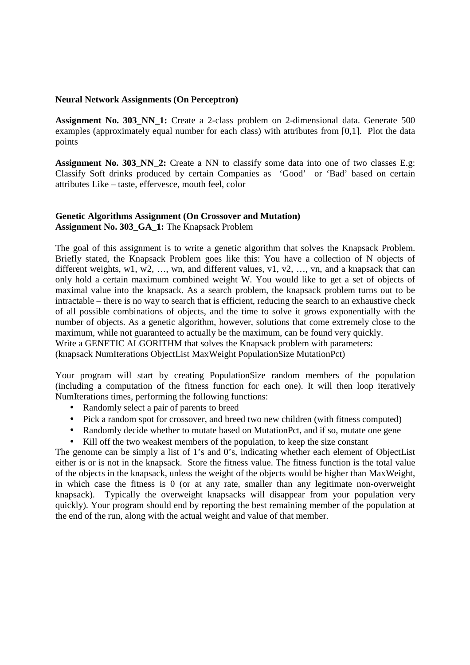#### **Neural Network Assignments (On Perceptron)**

**Assignment No. 303\_NN\_1:** Create a 2-class problem on 2-dimensional data. Generate 500 examples (approximately equal number for each class) with attributes from [0,1]. Plot the data points

**Assignment No. 303 NN 2:** Create a NN to classify some data into one of two classes E.g: Classify Soft drinks produced by certain Companies as 'Good' or 'Bad' based on certain attributes Like – taste, effervesce, mouth feel, color

### **Genetic Algorithms Assignment (On Crossover and Mutation) Assignment No. 303\_GA\_1:** The Knapsack Problem

The goal of this assignment is to write a genetic algorithm that solves the Knapsack Problem. Briefly stated, the Knapsack Problem goes like this: You have a collection of N objects of different weights, w1, w2, ..., wn, and different values, v1, v2, ..., vn, and a knapsack that can only hold a certain maximum combined weight W. You would like to get a set of objects of maximal value into the knapsack. As a search problem, the knapsack problem turns out to be intractable – there is no way to search that is efficient, reducing the search to an exhaustive check of all possible combinations of objects, and the time to solve it grows exponentially with the number of objects. As a genetic algorithm, however, solutions that come extremely close to the maximum, while not guaranteed to actually be the maximum, can be found very quickly. Write a GENETIC ALGORITHM that solves the Knapsack problem with parameters: (knapsack NumIterations ObjectList MaxWeight PopulationSize MutationPct)

Your program will start by creating PopulationSize random members of the population (including a computation of the fitness function for each one). It will then loop iteratively NumIterations times, performing the following functions:

- Randomly select a pair of parents to breed
- Pick a random spot for crossover, and breed two new children (with fitness computed)
- Randomly decide whether to mutate based on MutationPct, and if so, mutate one gene
- Kill off the two weakest members of the population, to keep the size constant

The genome can be simply a list of 1's and 0's, indicating whether each element of ObjectList either is or is not in the knapsack. Store the fitness value. The fitness function is the total value of the objects in the knapsack, unless the weight of the objects would be higher than MaxWeight, in which case the fitness is 0 (or at any rate, smaller than any legitimate non-overweight knapsack). Typically the overweight knapsacks will disappear from your population very quickly). Your program should end by reporting the best remaining member of the population at the end of the run, along with the actual weight and value of that member.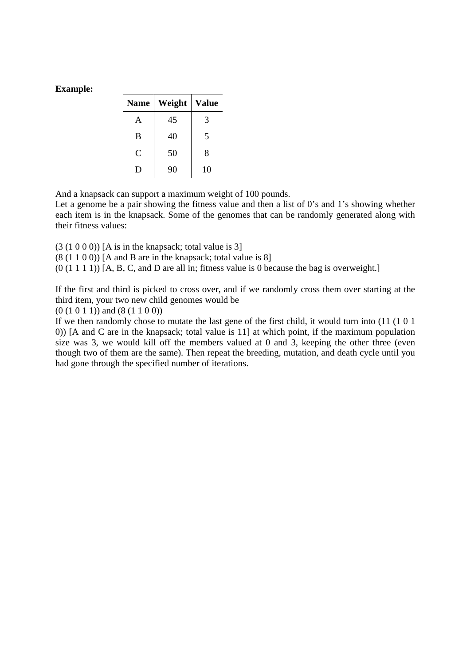## **Example:**

| <b>Name</b>    | Weight | <b>Value</b> |
|----------------|--------|--------------|
| A              | 45     | 3            |
| B              | 40     | 5            |
| $\overline{C}$ | 50     | 8            |
| D              | 90     | 10           |

And a knapsack can support a maximum weight of 100 pounds.

Let a genome be a pair showing the fitness value and then a list of 0's and 1's showing whether each item is in the knapsack. Some of the genomes that can be randomly generated along with their fitness values:

- $(3 (1 0 0 0))$  [A is in the knapsack; total value is 3]
- $(8(1 1 0 0))$  [A and B are in the knapsack; total value is 8]

 $(0 (1 1 1 1))$  [A, B, C, and D are all in; fitness value is 0 because the bag is overweight.]

If the first and third is picked to cross over, and if we randomly cross them over starting at the third item, your two new child genomes would be

 $(0 (1 0 1 1))$  and  $(8 (1 1 0 0))$ 

If we then randomly chose to mutate the last gene of the first child, it would turn into (11 (1 0 1 0)) [A and C are in the knapsack; total value is 11] at which point, if the maximum population size was 3, we would kill off the members valued at 0 and 3, keeping the other three (even though two of them are the same). Then repeat the breeding, mutation, and death cycle until you had gone through the specified number of iterations.